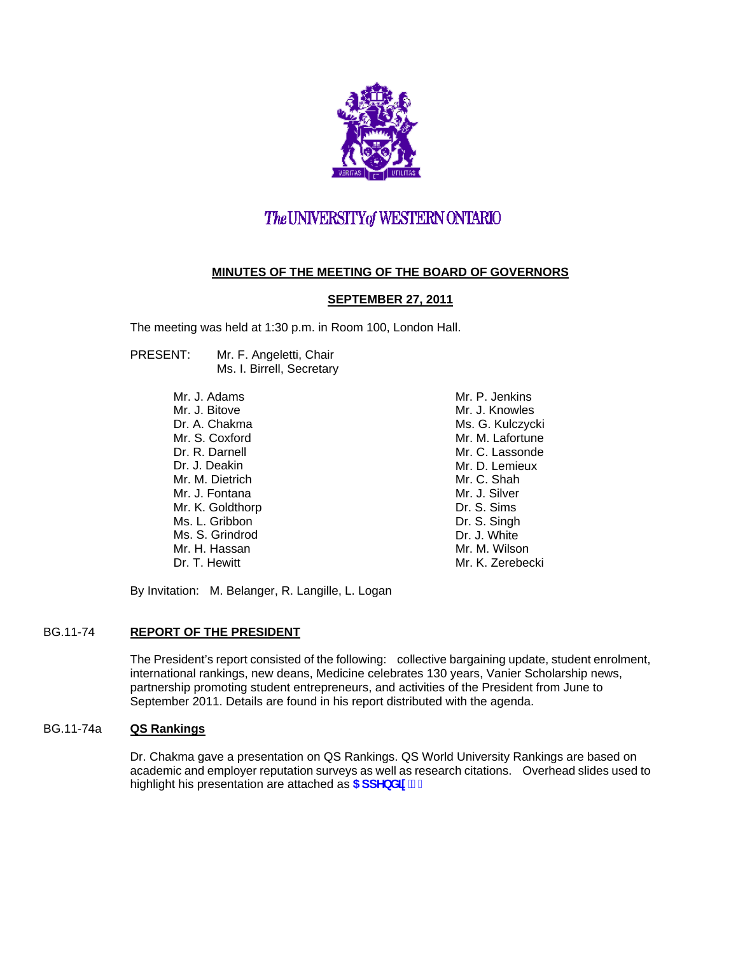

# The UNIVERSITY of WESTERN ONTARIO

# **MINUTES OF THE MEETING OF THE BOARD OF GOVERNORS**

# **SEPTEMBER 27, 2011**

The meeting was held at 1:30 p.m. in Room 100, London Hall.

PRESENT: Mr. F. Angeletti, Chair Ms. I. Birrell, Secretary

> Mr. J. Adams Mr. J. Bitove Dr. A. Chakma Mr. S. Coxford Dr. R. Darnell Dr. J. Deakin Mr. M. Dietrich Mr. J. Fontana Mr. K. Goldthorp Ms. L. Gribbon Ms. S. Grindrod Mr. H. Hassan Dr. T. Hewitt

 Mr. P. Jenkins Mr. J. Knowles Ms. G. Kulczycki Mr. M. Lafortune Mr. C. Lassonde Mr. D. Lemieux Mr. C. Shah Mr. J. Silver Dr. S. Sims Dr. S. Singh Dr. J. White Mr. M. Wilson Mr. K. Zerebecki

By Invitation: M. Belanger, R. Langille, L. Logan

# BG.11-74 **REPORT OF THE PRESIDENT**

The President's report consisted of the following: collective bargaining update, student enrolment, international rankings, new deans, Medicine celebrates 130 years, Vanier Scholarship news, partnership promoting student entrepreneurs, and activities of the President from June to September 2011. Details are found in his report distributed with the agenda.

## BG.11-74a **QS Rankings**

Dr. Chakma gave a presentation on QS Rankings. QS World University Rankings are based on academic and employer reputation surveys as well as research citations. Overhead slides used to highlight his presentation are attached as **5 ddYbX]l** '%"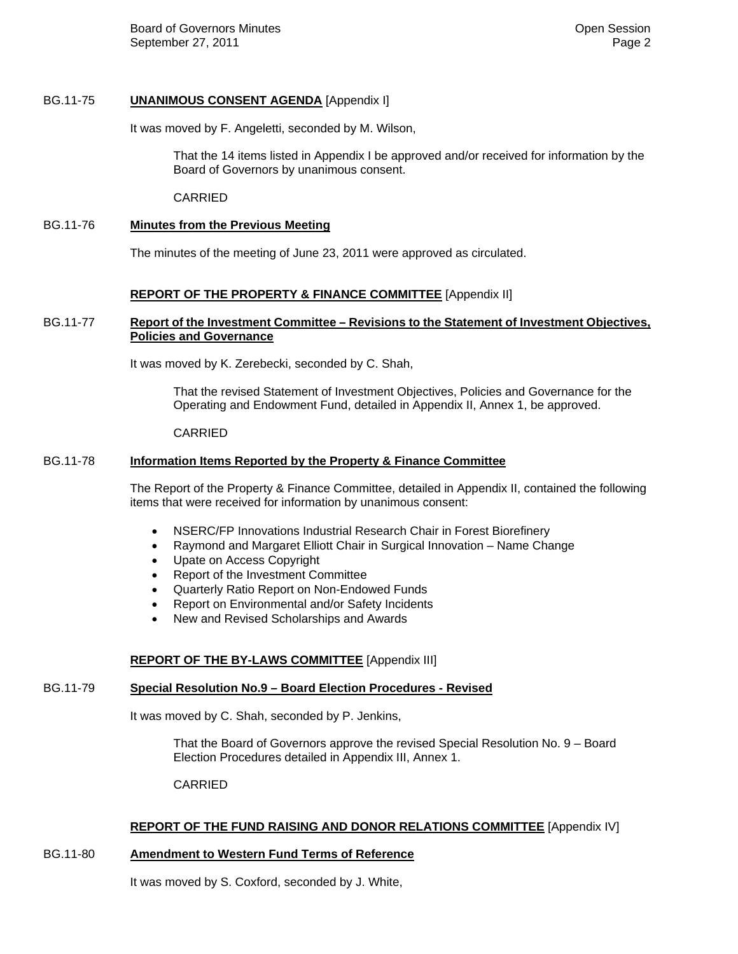Board of Governors Minutes **Contract Contract Contract Contract Contract Contract Contract Contract Contract Contract Contract Contract Contract Contract Contract Contract Contract Contract Contract Contract Contract Contr** September 27, 2011 **Page 2 Page 2** 

## BG.11-75 **UNANIMOUS CONSENT AGENDA** [Appendix I]

It was moved by F. Angeletti, seconded by M. Wilson,

 That the 14 items listed in Appendix I be approved and/or received for information by the Board of Governors by unanimous consent.

CARRIED

## BG.11-76 **Minutes from the Previous Meeting**

The minutes of the meeting of June 23, 2011 were approved as circulated.

## **REPORT OF THE PROPERTY & FINANCE COMMITTEE** [Appendix II]

## BG.11-77 **Report of the Investment Committee – Revisions to the Statement of Investment Objectives, Policies and Governance**

It was moved by K. Zerebecki, seconded by C. Shah,

That the revised Statement of Investment Objectives, Policies and Governance for the Operating and Endowment Fund, detailed in Appendix II, Annex 1, be approved.

#### CARRIED

## BG.11-78 **Information Items Reported by the Property & Finance Committee**

The Report of the Property & Finance Committee, detailed in Appendix II, contained the following items that were received for information by unanimous consent:

- NSERC/FP Innovations Industrial Research Chair in Forest Biorefinery
- Raymond and Margaret Elliott Chair in Surgical Innovation Name Change
- Upate on Access Copyright
- Report of the Investment Committee
- Quarterly Ratio Report on Non-Endowed Funds
- Report on Environmental and/or Safety Incidents
- New and Revised Scholarships and Awards

## **REPORT OF THE BY-LAWS COMMITTEE** [Appendix III]

#### BG.11-79 **Special Resolution No.9 – Board Election Procedures - Revised**

It was moved by C. Shah, seconded by P. Jenkins,

That the Board of Governors approve the revised Special Resolution No. 9 – Board Election Procedures detailed in Appendix III, Annex 1.

CARRIED

## **REPORT OF THE FUND RAISING AND DONOR RELATIONS COMMITTEE** [Appendix IV]

## BG.11-80 **Amendment to Western Fund Terms of Reference**

It was moved by S. Coxford, seconded by J. White,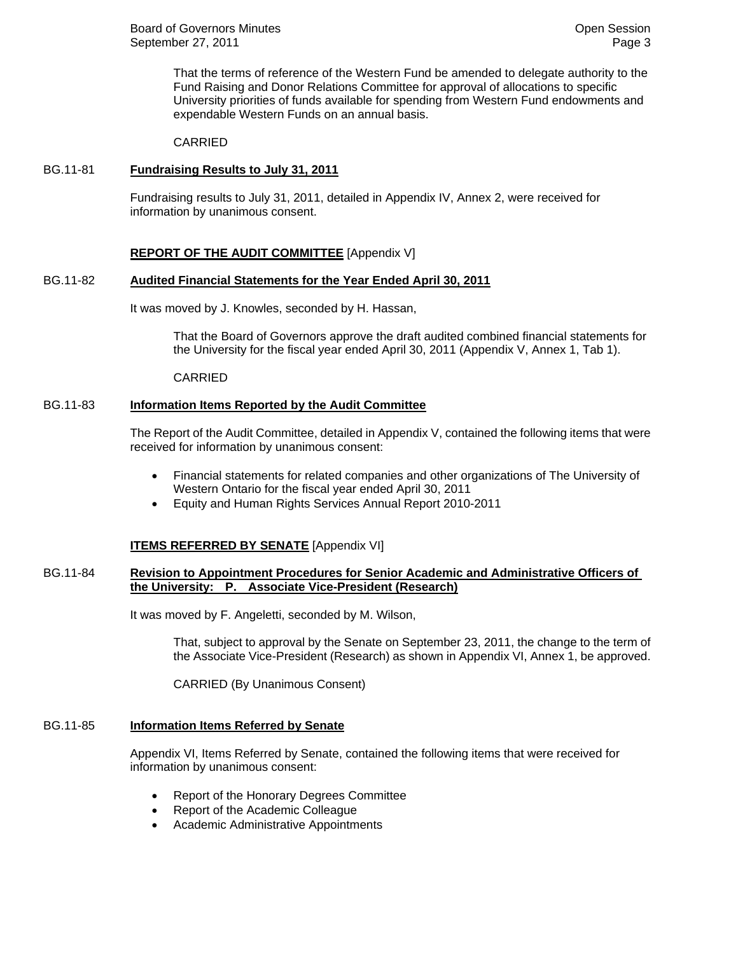That the terms of reference of the Western Fund be amended to delegate authority to the Fund Raising and Donor Relations Committee for approval of allocations to specific University priorities of funds available for spending from Western Fund endowments and expendable Western Funds on an annual basis.

#### CARRIED

#### BG.11-81 **Fundraising Results to July 31, 2011**

Fundraising results to July 31, 2011, detailed in Appendix IV, Annex 2, were received for information by unanimous consent.

#### **REPORT OF THE AUDIT COMMITTEE** [Appendix V]

#### BG.11-82 **Audited Financial Statements for the Year Ended April 30, 2011**

It was moved by J. Knowles, seconded by H. Hassan,

That the Board of Governors approve the draft audited combined financial statements for the University for the fiscal year ended April 30, 2011 (Appendix V, Annex 1, Tab 1).

#### CARRIED

#### BG.11-83 **Information Items Reported by the Audit Committee**

The Report of the Audit Committee, detailed in Appendix V, contained the following items that were received for information by unanimous consent:

- Financial statements for related companies and other organizations of The University of Western Ontario for the fiscal year ended April 30, 2011
- Equity and Human Rights Services Annual Report 2010-2011

#### **ITEMS REFERRED BY SENATE** [Appendix VI]

## BG.11-84 **Revision to Appointment Procedures for Senior Academic and Administrative Officers of the University: P. Associate Vice-President (Research)**

It was moved by F. Angeletti, seconded by M. Wilson,

That, subject to approval by the Senate on September 23, 2011, the change to the term of the Associate Vice-President (Research) as shown in Appendix VI, Annex 1, be approved.

CARRIED (By Unanimous Consent)

# BG.11-85 **Information Items Referred by Senate**

Appendix VI, Items Referred by Senate, contained the following items that were received for information by unanimous consent:

- Report of the Honorary Degrees Committee
- Report of the Academic Colleague
- Academic Administrative Appointments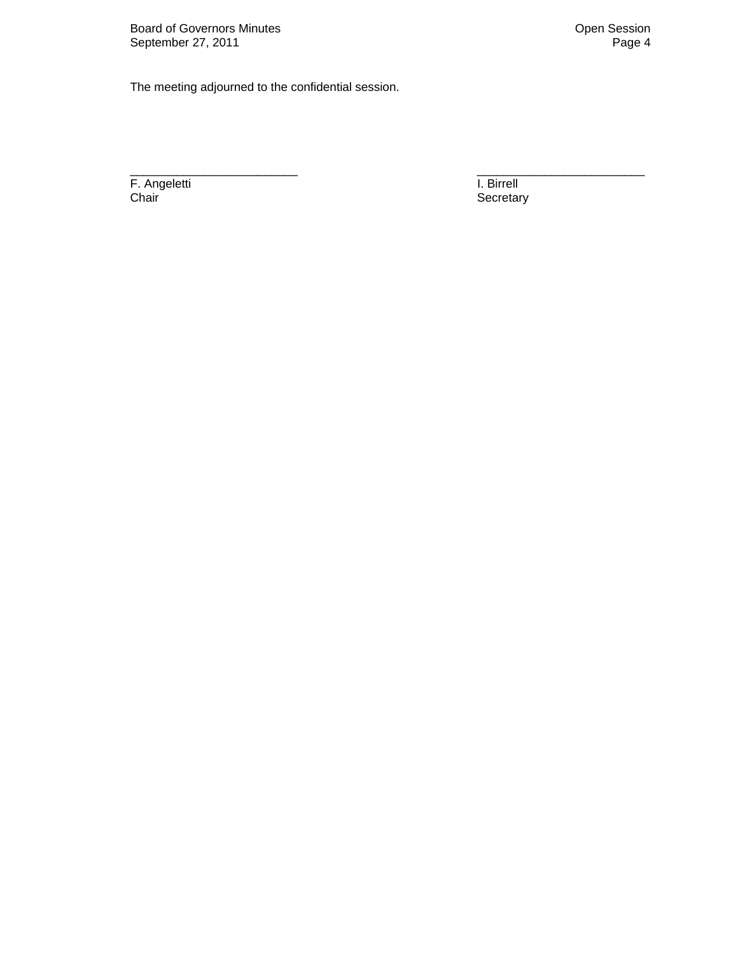The meeting adjourned to the confidential session.

F. Angeletti **I. Birrell** Chair **Chair** Secretary **Chair** Secretary

\_\_\_\_\_\_\_\_\_\_\_\_\_\_\_\_\_\_\_\_\_\_\_\_\_ \_\_\_\_\_\_\_\_\_\_\_\_\_\_\_\_\_\_\_\_\_\_\_\_\_